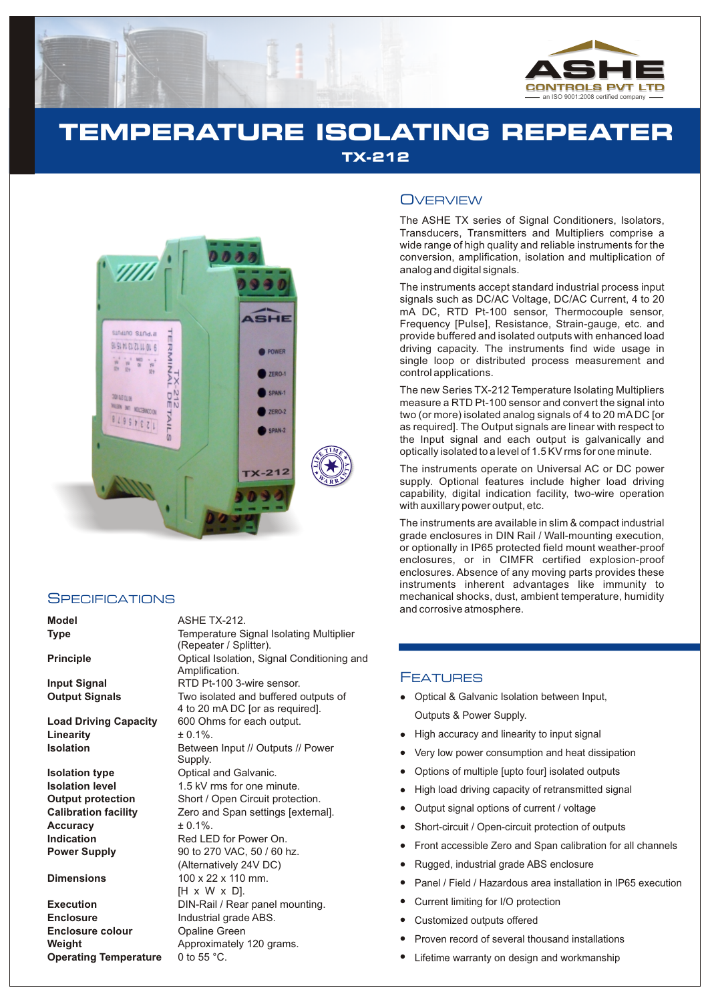

# **TEMPERATURE ISOLATING REPEATER TX-212**



## **SPECIFICATIONS**

#### **Dimensions**

**Execution Enclosure Enclosure colour Weight Approximately 120 grams. Operating Temperature** 0 to 55 °C.

**Model** ASHE TX-212.

| model                        | ASHE TA-ZIZ.                                                            |
|------------------------------|-------------------------------------------------------------------------|
| <b>Type</b>                  | Temperature Signal Isolating Multiplier<br>(Repeater / Splitter).       |
| <b>Principle</b>             | Optical Isolation, Signal Conditioning and<br>Amplification.            |
| <b>Input Signal</b>          | RTD Pt-100 3-wire sensor.                                               |
| <b>Output Signals</b>        | Two isolated and buffered outputs of<br>4 to 20 mA DC [or as required]. |
| <b>Load Driving Capacity</b> | 600 Ohms for each output.                                               |
| Linearity                    | $+0.1\%$ .                                                              |
| <b>Isolation</b>             | Between Input // Outputs // Power<br>Supply.                            |
| <b>Isolation type</b>        | Optical and Galvanic.                                                   |
| <b>Isolation level</b>       | 1.5 kV rms for one minute.                                              |
| <b>Output protection</b>     | Short / Open Circuit protection.                                        |
| <b>Calibration facility</b>  | Zero and Span settings [external].                                      |
| <b>Accuracy</b>              | $+0.1\%$ .                                                              |
| Indication                   | Red LED for Power On.                                                   |
| <b>Power Supply</b>          | 90 to 270 VAC, 50 / 60 hz.                                              |
|                              | (Alternatively 24V DC)                                                  |
| <b>Dimensions</b>            | $100 \times 22 \times 110$ mm.                                          |
|                              | [H x W x D].                                                            |
| <b>Execution</b>             | DIN-Rail / Rear panel mounting.                                         |
| <b>Enclosure</b>             | Industrial grade ABS.                                                   |
| Enclosure colour             | <b>Opaline Green</b>                                                    |
|                              |                                                                         |

# **OVERVIEW**

The ASHE TX series of Signal Conditioners, Isolators, Transducers, Transmitters and Multipliers comprise a wide range of high quality and reliable instruments for the conversion, amplification, isolation and multiplication of analog and digital signals.

The instruments accept standard industrial process input signals such as DC/AC Voltage, DC/AC Current, 4 to 20 mA DC, RTD Pt-100 sensor, Thermocouple sensor, Frequency [Pulse], Resistance, Strain-gauge, etc. and provide buffered and isolated outputs with enhanced load driving capacity. The instruments find wide usage in single loop or distributed process measurement and control applications.

The new Series TX-212 Temperature Isolating Multipliers measure a RTD Pt-100 sensor and convert the signal into two (or more) isolated analog signals of 4 to 20 mA DC [or as required]. The Output signals are linear with respect to the Input signal and each output is galvanically and optically isolated to a level of 1.5 KV rms for one minute.

The instruments operate on Universal AC or DC power supply. Optional features include higher load driving capability, digital indication facility, two-wire operation with auxillary power output, etc.

The instruments are available in slim & compact industrial grade enclosures in DIN Rail / Wall-mounting execution, or optionally in IP65 protected field mount weather-proof enclosures, or in CIMFR certified explosion-proof enclosures. Absence of any moving parts provides these instruments inherent advantages like immunity to mechanical shocks, dust, ambient temperature, humidity and corrosive atmosphere.

# FEATURES

- Optical & Galvanic Isolation between Input, Outputs & Power Supply.
- High accuracy and linearity to input signal
- Very low power consumption and heat dissipation
- Options of multiple [upto four] isolated outputs
- High load driving capacity of retransmitted signal
- Output signal options of current / voltage  $\bullet$
- Short-circuit / Open-circuit protection of outputs
- Front accessible Zero and Span calibration for all channels
- Rugged, industrial grade ABS enclosure
- Panel / Field / Hazardous area installation in IP65 execution
- Current limiting for I/O protection
- Customized outputs offered
- llighter Proprise Highter Proprise Proprise Proprise Proprise Proprise Proprise Proprise Proprise Proprise Prop<br>Lifet Proprise Proprise Proprise Proprise Proprise Proprise Proprise Proprise Proprise Proprise Proprise Prop<br> Proven record of several thousand installations
- Lifetime warranty on design and workmanship